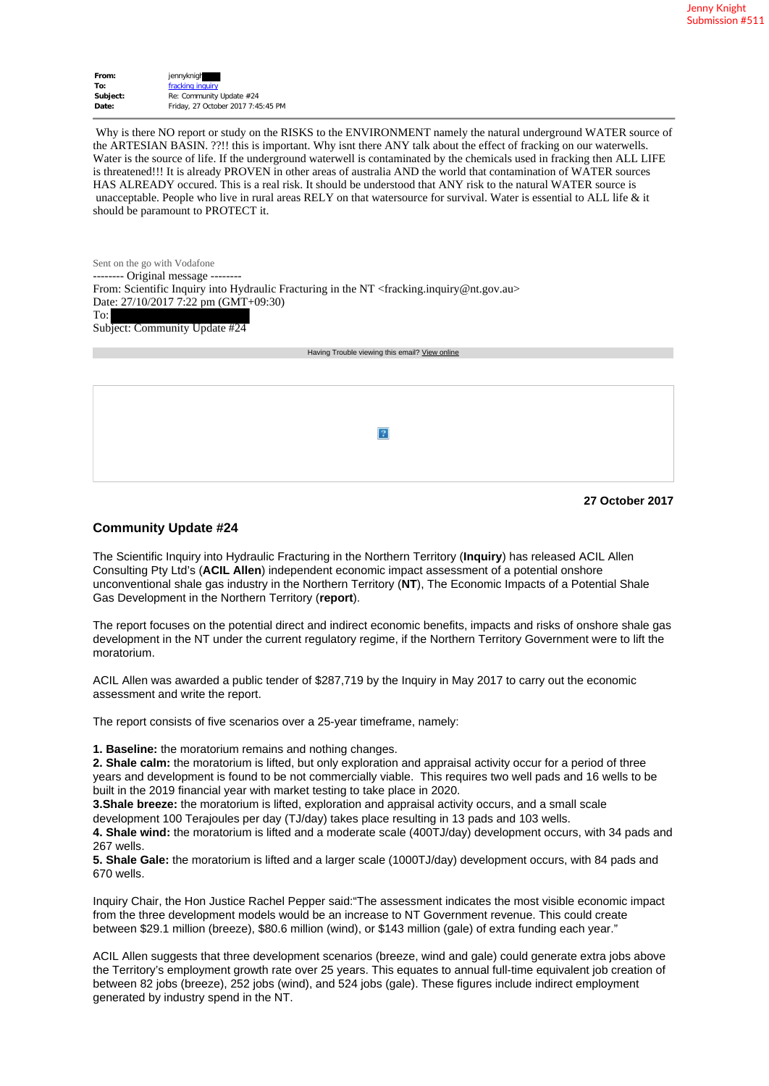| From:    | jennyknigh                         |
|----------|------------------------------------|
| To:      | fracking inquiry                   |
| Subject: | Re: Community Update #24           |
| Date:    | Friday, 27 October 2017 7:45:45 PM |

 Why is there NO report or study on the RISKS to the ENVIRONMENT namely the natural underground WATER source of the ARTESIAN BASIN. ??!! this is important. Why isnt there ANY talk about the effect of fracking on our waterwells. Water is the source of life. If the underground waterwell is contaminated by the chemicals used in fracking then ALL LIFE is threatened!!! It is already PROVEN in other areas of australia AND the world that contamination of WATER sources HAS ALREADY occured. This is a real risk. It should be understood that ANY risk to the natural WATER source is unacceptable. People who live in rural areas RELY on that watersource for survival. Water is essential to ALL life  $\&$  it should be paramount to PROTECT it.

Sent on the go with Vodafone -------- Original message -------- From: Scientific Inquiry into Hydraulic Fracturing in the NT <fracking.inquiry@nt.gov.au> Date: 27/10/2017 7:22 pm (GMT+09:30) To: Subject: Community Update #24

Having Trouble viewing this email? View online

| -21 |
|-----|
|     |
|     |

```
27 October 2017
```
## **Community Update #24**

The Scientific Inquiry into Hydraulic Fracturing in the Northern Territory (**Inquiry**) has released ACIL Allen Consulting Pty Ltd's (**ACIL Allen**) independent economic impact assessment of a potential onshore unconventional shale gas industry in the Northern Territory (**NT**), The Economic Impacts of a Potential Shale Gas Development in the Northern Territory (**report**).

The report focuses on the potential direct and indirect economic benefits, impacts and risks of onshore shale gas development in the NT under the current regulatory regime, if the Northern Territory Government were to lift the moratorium.

ACIL Allen was awarded a public tender of \$287,719 by the Inquiry in May 2017 to carry out the economic assessment and write the report.

The report consists of five scenarios over a 25-year timeframe, namely:

**1. Baseline:** the moratorium remains and nothing changes.

**2. Shale calm:** the moratorium is lifted, but only exploration and appraisal activity occur for a period of three years and development is found to be not commercially viable. This requires two well pads and 16 wells to be built in the 2019 financial year with market testing to take place in 2020.

**3.Shale breeze:** the moratorium is lifted, exploration and appraisal activity occurs, and a small scale development 100 Terajoules per day (TJ/day) takes place resulting in 13 pads and 103 wells.

**4. Shale wind:** the moratorium is lifted and a moderate scale (400TJ/day) development occurs, with 34 pads and 267 wells.

**5. Shale Gale:** the moratorium is lifted and a larger scale (1000TJ/day) development occurs, with 84 pads and 670 wells.

Inquiry Chair, the Hon Justice Rachel Pepper said:"The assessment indicates the most visible economic impact from the three development models would be an increase to NT Government revenue. This could create between \$29.1 million (breeze), \$80.6 million (wind), or \$143 million (gale) of extra funding each year."

ACIL Allen suggests that three development scenarios (breeze, wind and gale) could generate extra jobs above the Territory's employment growth rate over 25 years. This equates to annual full-time equivalent job creation of between 82 jobs (breeze), 252 jobs (wind), and 524 jobs (gale). These figures include indirect employment generated by industry spend in the NT.